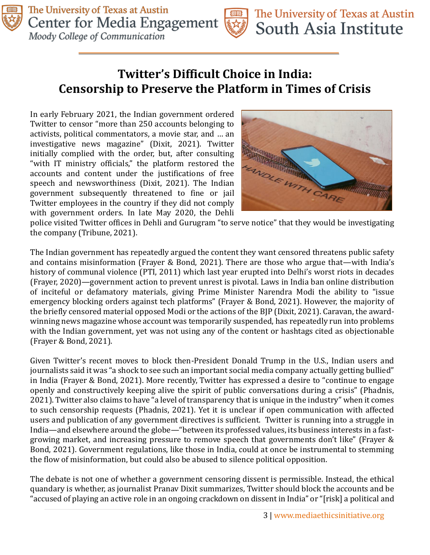

## **Twitter's Difficult Choice in India: Censorship to Preserve the Platform in Times of Crisis**

In early February 2021, the Indian government ordered Twitter to censor "more than 250 accounts belonging to activists, political commentators, a movie star, and … an investigative news magazine" (Dixit, 2021). Twitter initially complied with the order, but, after consulting "with IT ministry officials," the platform restored the accounts and content under the justifications of free speech and newsworthiness (Dixit, 2021). The Indian government subsequently threatened to fine or jail Twitter employees in the country if they did not comply with government orders. In late May 2020, the Dehli



police visited Twitter offices in Dehli and Gurugram "to serve notice" that they would be investigating the company (Tribune, 2021).

The Indian government has repeatedly argued the content they want censored threatens public safety and contains misinformation (Frayer & Bond, 2021). There are those who argue that—with India's history of communal violence (PTI, 2011) which last year erupted into Delhi's worst riots in decades (Frayer, 2020)—government action to prevent unrest is pivotal. Laws in India ban online distribution of inciteful or defamatory materials, giving Prime Minister Narendra Modi the ability to "issue emergency blocking orders against tech platforms" (Frayer & Bond, 2021). However, the majority of the briefly censored material opposed Modi or the actions of the BJP (Dixit, 2021). Caravan, the awardwinning news magazine whose account was temporarily suspended, has repeatedly run into problems with the Indian government, yet was not using any of the content or hashtags cited as objectionable (Frayer & Bond, 2021).

Given Twitter's recent moves to block then-President Donald Trump in the U.S., Indian users and journalists said it was "a shock to see such an important social media company actually getting bullied" in India (Frayer & Bond, 2021). More recently, Twitter has expressed a desire to "continue to engage openly and constructively keeping alive the spirit of public conversations during a crisis" (Phadnis, 2021). Twitter also claims to have "a level of transparency that is unique in the industry" when it comes to such censorship requests (Phadnis, 2021). Yet it is unclear if open communication with affected users and publication of any government directives is sufficient. Twitter is running into a struggle in India—and elsewhere around the globe—"between its professed values, its business interests in a fastgrowing market, and increasing pressure to remove speech that governments don't like" (Frayer & Bond, 2021). Government regulations, like those in India, could at once be instrumental to stemming the flow of misinformation, but could also be abused to silence political opposition.

The debate is not one of whether a government censoring dissent is permissible. Instead, the ethical quandary is whether, as journalist Pranav Dixit summarizes, Twitter should block the accounts and be "accused of playing an active role in an ongoing crackdown on dissent in India" or "[risk] a political and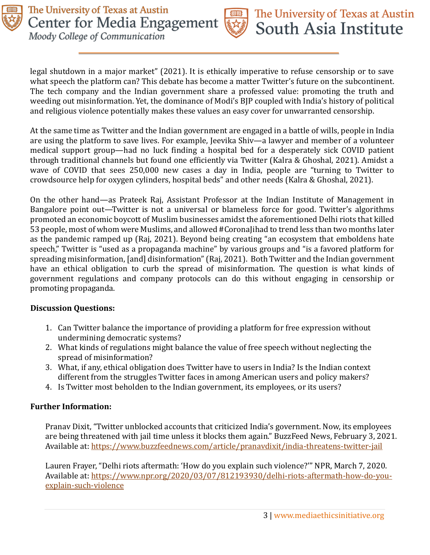

legal shutdown in a major market" (2021). It is ethically imperative to refuse censorship or to save what speech the platform can? This debate has become a matter Twitter's future on the subcontinent. The tech company and the Indian government share a professed value: promoting the truth and weeding out misinformation. Yet, the dominance of Modi's BJP coupled with India's history of political and religious violence potentially makes these values an easy cover for unwarranted censorship.

At the same time as Twitter and the Indian government are engaged in a battle of wills, people in India are using the platform to save lives. For example, Jeevika Shiv—a lawyer and member of a volunteer medical support group—had no luck finding a hospital bed for a desperately sick COVID patient through traditional channels but found one efficiently via Twitter (Kalra & Ghoshal, 2021). Amidst a wave of COVID that sees 250,000 new cases a day in India, people are "turning to Twitter to crowdsource help for oxygen cylinders, hospital beds" and other needs (Kalra & Ghoshal, 2021).

On the other hand—as Prateek Raj, Assistant Professor at the Indian Institute of Management in Bangalore point out—Twitter is not a universal or blameless force for good. Twitter's algorithms promoted an economic boycott of Muslim businesses amidst the aforementioned Delhi riots that killed 53 people, most of whom were Muslims, and allowed #CoronaJihad to trend less than two months later as the pandemic ramped up (Raj, 2021). Beyond being creating "an ecosystem that emboldens hate speech," Twitter is "used as a propaganda machine" by various groups and "is a favored platform for spreading misinformation, [and] disinformation" (Raj, 2021). Both Twitter and the Indian government have an ethical obligation to curb the spread of misinformation. The question is what kinds of government regulations and company protocols can do this without engaging in censorship or promoting propaganda.

## **Discussion Questions:**

- 1. Can Twitter balance the importance of providing a platform for free expression without undermining democratic systems?
- 2. What kinds of regulations might balance the value of free speech without neglecting the spread of misinformation?
- 3. What, if any, ethical obligation does Twitter have to users in India? Is the Indian context different from the struggles Twitter faces in among American users and policy makers?
- 4. Is Twitter most beholden to the Indian government, its employees, or its users?

## **Further Information:**

Pranav Dixit, "Twitter unblocked accounts that criticized India's government. Now, its employees are being threatened with jail time unless it blocks them again." BuzzFeed News, February 3, 2021. Available at:<https://www.buzzfeednews.com/article/pranavdixit/india-threatens-twitter-jail>

Lauren Frayer, "Delhi riots aftermath: 'How do you explain such violence?'" NPR, March 7, 2020. Available at: [https://www.npr.org/2020/03/07/812193930/delhi-riots-aftermath-how-do-you](https://www.npr.org/2020/03/07/812193930/delhi-riots-aftermath-how-do-you-explain-such-violence)[explain-such-violence](https://www.npr.org/2020/03/07/812193930/delhi-riots-aftermath-how-do-you-explain-such-violence)

The University of Texas at Austin

South Asia Institute